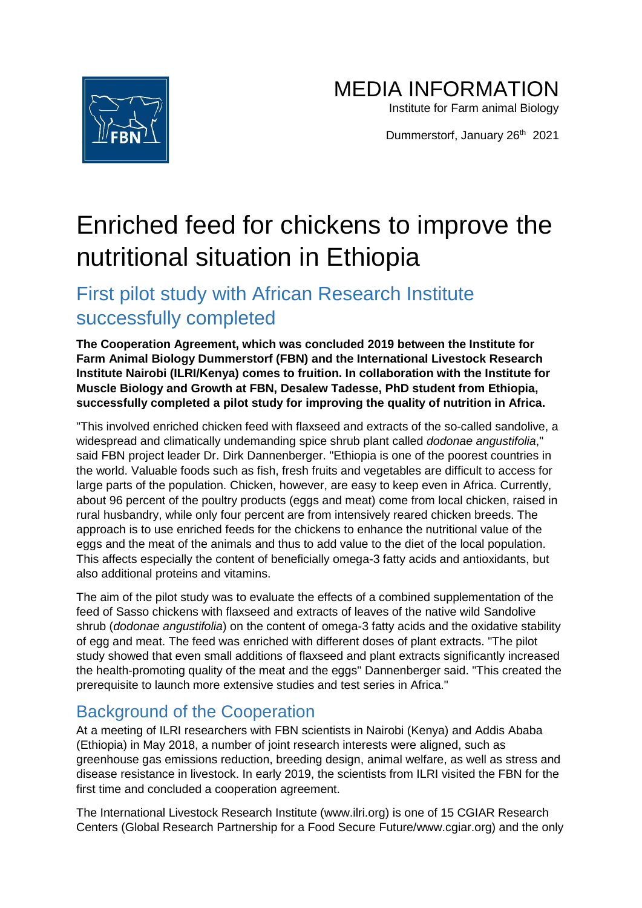

MEDIA INFORMATION

Institute for Farm animal Biology

Dummerstorf, January 26<sup>th</sup> 2021

## Enriched feed for chickens to improve the nutritional situation in Ethiopia

## First pilot study with African Research Institute successfully completed

**The Cooperation Agreement, which was concluded 2019 between the Institute for Farm Animal Biology Dummerstorf (FBN) and the International Livestock Research Institute Nairobi (ILRI/Kenya) comes to fruition. In collaboration with the Institute for Muscle Biology and Growth at FBN, Desalew Tadesse, PhD student from Ethiopia, successfully completed a pilot study for improving the quality of nutrition in Africa.**

"This involved enriched chicken feed with flaxseed and extracts of the so-called sandolive, a widespread and climatically undemanding spice shrub plant called *dodonae angustifolia*," said FBN project leader Dr. Dirk Dannenberger. "Ethiopia is one of the poorest countries in the world. Valuable foods such as fish, fresh fruits and vegetables are difficult to access for large parts of the population. Chicken, however, are easy to keep even in Africa. Currently, about 96 percent of the poultry products (eggs and meat) come from local chicken, raised in rural husbandry, while only four percent are from intensively reared chicken breeds. The approach is to use enriched feeds for the chickens to enhance the nutritional value of the eggs and the meat of the animals and thus to add value to the diet of the local population. This affects especially the content of beneficially omega-3 fatty acids and antioxidants, but also additional proteins and vitamins.

The aim of the pilot study was to evaluate the effects of a combined supplementation of the feed of Sasso chickens with flaxseed and extracts of leaves of the native wild Sandolive shrub (*dodonae angustifolia*) on the content of omega-3 fatty acids and the oxidative stability of egg and meat. The feed was enriched with different doses of plant extracts. "The pilot study showed that even small additions of flaxseed and plant extracts significantly increased the health-promoting quality of the meat and the eggs" Dannenberger said. "This created the prerequisite to launch more extensive studies and test series in Africa."

## Background of the Cooperation

At a meeting of ILRI researchers with FBN scientists in Nairobi (Kenya) and Addis Ababa (Ethiopia) in May 2018, a number of joint research interests were aligned, such as greenhouse gas emissions reduction, breeding design, animal welfare, as well as stress and disease resistance in livestock. In early 2019, the scientists from ILRI visited the FBN for the first time and concluded a cooperation agreement.

The International Livestock Research Institute (www.ilri.org) is one of 15 CGIAR Research Centers (Global Research Partnership for a Food Secure Future/www.cgiar.org) and the only